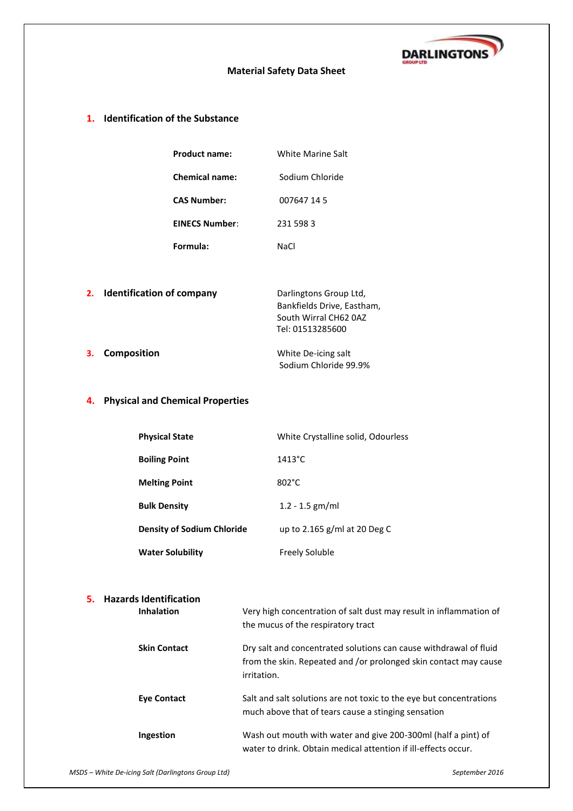

## **Material Safety Data Sheet**

## **1. Identification of the Substance**

| <b>Product name:</b>  | White Marine Salt |
|-----------------------|-------------------|
| <b>Chemical name:</b> | Sodium Chloride   |
| CAS Number:           | 007647 14 5       |
| <b>EINECS Number:</b> | 231 598 3         |
| Formula:              | NaCl              |

|    | 2. Identification of company | Darlingtons Group Ltd,     |
|----|------------------------------|----------------------------|
|    |                              | Bankfields Drive, Eastham, |
|    |                              | South Wirral CH62 0AZ      |
|    |                              | Tel: 01513285600           |
| 3. | <b>Composition</b>           | White De-icing salt        |
|    |                              | Sodium Chloride 99.9%      |

# **4. Physical and Chemical Properties**

| <b>Physical State</b>             | White Crystalline solid, Odourless |
|-----------------------------------|------------------------------------|
| <b>Boiling Point</b>              | $1413^{\circ}$ C                   |
| <b>Melting Point</b>              | 802°C                              |
| <b>Bulk Density</b>               | $1.2 - 1.5$ gm/ml                  |
| <b>Density of Sodium Chloride</b> | up to 2.165 g/ml at 20 Deg C       |
| <b>Water Solubility</b>           | Freely Soluble                     |

## **5. Hazards Identification**

| <b>Inhalation</b>   | Very high concentration of salt dust may result in inflammation of<br>the mucus of the respiratory tract                                             |
|---------------------|------------------------------------------------------------------------------------------------------------------------------------------------------|
| <b>Skin Contact</b> | Dry salt and concentrated solutions can cause withdrawal of fluid<br>from the skin. Repeated and /or prolonged skin contact may cause<br>irritation. |
| <b>Eye Contact</b>  | Salt and salt solutions are not toxic to the eye but concentrations<br>much above that of tears cause a stinging sensation                           |
| Ingestion           | Wash out mouth with water and give 200-300ml (half a pint) of<br>water to drink. Obtain medical attention if ill-effects occur.                      |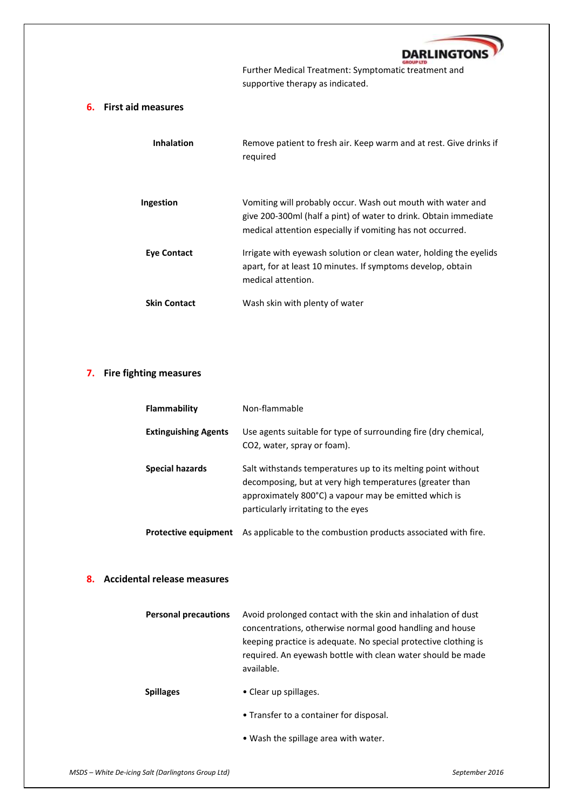

**Further Medical Treatment: Symptomatic treatment and** supportive therapy as indicated.

## **6. First aid measures**

| <b>Inhalation</b>   | Remove patient to fresh air. Keep warm and at rest. Give drinks if<br>reguired                                                                                                                |
|---------------------|-----------------------------------------------------------------------------------------------------------------------------------------------------------------------------------------------|
| Ingestion           | Vomiting will probably occur. Wash out mouth with water and<br>give 200-300ml (half a pint) of water to drink. Obtain immediate<br>medical attention especially if vomiting has not occurred. |
| Eye Contact         | Irrigate with eyewash solution or clean water, holding the eyelids<br>apart, for at least 10 minutes. If symptoms develop, obtain<br>medical attention.                                       |
| <b>Skin Contact</b> | Wash skin with plenty of water                                                                                                                                                                |

## **7. Fire fighting measures**

| Flammability                | Non-flammable                                                                                                                                                                                                            |
|-----------------------------|--------------------------------------------------------------------------------------------------------------------------------------------------------------------------------------------------------------------------|
| <b>Extinguishing Agents</b> | Use agents suitable for type of surrounding fire (dry chemical,<br>CO2, water, spray or foam).                                                                                                                           |
| <b>Special hazards</b>      | Salt withstands temperatures up to its melting point without<br>decomposing, but at very high temperatures (greater than<br>approximately 800°C) a vapour may be emitted which is<br>particularly irritating to the eyes |
| <b>Protective equipment</b> | As applicable to the combustion products associated with fire.                                                                                                                                                           |

### **8. Accidental release measures**

| <b>Personal precautions</b> | Avoid prolonged contact with the skin and inhalation of dust<br>concentrations, otherwise normal good handling and house<br>keeping practice is adequate. No special protective clothing is<br>required. An eyewash bottle with clean water should be made<br>available. |
|-----------------------------|--------------------------------------------------------------------------------------------------------------------------------------------------------------------------------------------------------------------------------------------------------------------------|
| <b>Spillages</b>            | • Clear up spillages.                                                                                                                                                                                                                                                    |
|                             | • Transfer to a container for disposal.                                                                                                                                                                                                                                  |
|                             | • Wash the spillage area with water.                                                                                                                                                                                                                                     |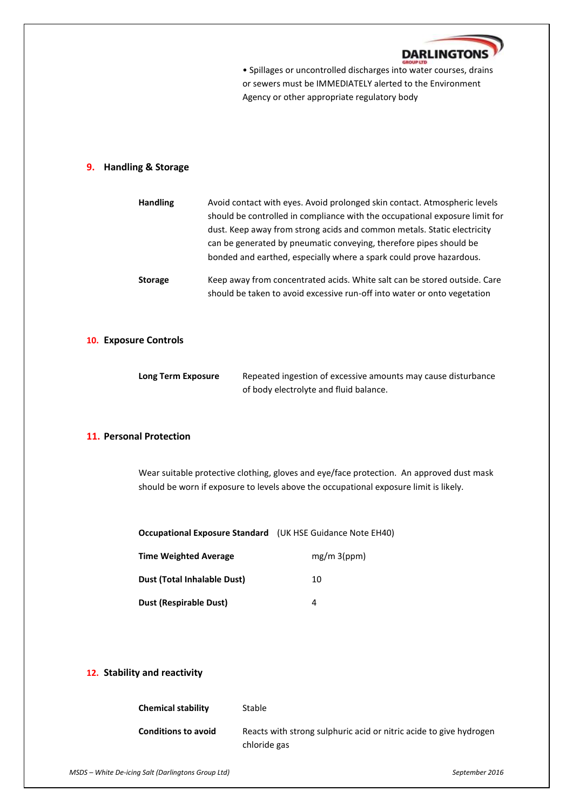

• Spillages or uncontrolled discharges into water courses, drains or sewers must be IMMEDIATELY alerted to the Environment Agency or other appropriate regulatory body

### **9. Handling & Storage**

| <b>Handling</b> | Avoid contact with eyes. Avoid prolonged skin contact. Atmospheric levels<br>should be controlled in compliance with the occupational exposure limit for<br>dust. Keep away from strong acids and common metals. Static electricity<br>can be generated by pneumatic conveying, therefore pipes should be<br>bonded and earthed, especially where a spark could prove hazardous. |
|-----------------|----------------------------------------------------------------------------------------------------------------------------------------------------------------------------------------------------------------------------------------------------------------------------------------------------------------------------------------------------------------------------------|
| <b>Storage</b>  | Keep away from concentrated acids. White salt can be stored outside. Care<br>should be taken to avoid excessive run-off into water or onto vegetation                                                                                                                                                                                                                            |

#### **10. Exposure Controls**

| Long Term Exposure | Repeated ingestion of excessive amounts may cause disturbance |
|--------------------|---------------------------------------------------------------|
|                    | of body electrolyte and fluid balance.                        |

### **11. Personal Protection**

Wear suitable protective clothing, gloves and eye/face protection. An approved dust mask should be worn if exposure to levels above the occupational exposure limit is likely.

| Occupational Exposure Standard (UK HSE Guidance Note EH40) |  |
|------------------------------------------------------------|--|
|------------------------------------------------------------|--|

| <b>Time Weighted Average</b>  | $mg/m$ 3(ppm) |
|-------------------------------|---------------|
| Dust (Total Inhalable Dust)   | 10            |
| <b>Dust (Respirable Dust)</b> | Δ             |

### **12. Stability and reactivity**

| <b>Chemical stability</b>  | Stable                                                                             |
|----------------------------|------------------------------------------------------------------------------------|
| <b>Conditions to avoid</b> | Reacts with strong sulphuric acid or nitric acide to give hydrogen<br>chloride gas |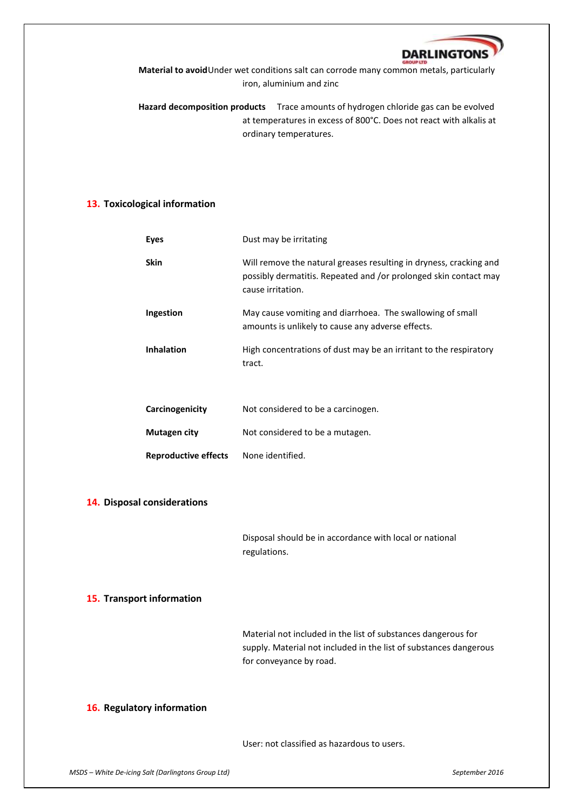

**Material to avoid**Under wet conditions salt can corrode many common metals, particularly iron, aluminium and zinc

**Hazard decomposition products** Trace amounts of hydrogen chloride gas can be evolved at temperatures in excess of 800°C. Does not react with alkalis at ordinary temperatures.

### **13. Toxicological information**

| <b>Eyes</b>                 | Dust may be irritating                                                                                                                                      |
|-----------------------------|-------------------------------------------------------------------------------------------------------------------------------------------------------------|
| <b>Skin</b>                 | Will remove the natural greases resulting in dryness, cracking and<br>possibly dermatitis. Repeated and /or prolonged skin contact may<br>cause irritation. |
| Ingestion                   | May cause vomiting and diarrhoea. The swallowing of small<br>amounts is unlikely to cause any adverse effects.                                              |
| <b>Inhalation</b>           | High concentrations of dust may be an irritant to the respiratory<br>tract.                                                                                 |
| Carcinogenicity             | Not considered to be a carcinogen.                                                                                                                          |
| Mutagen city                | Not considered to be a mutagen.                                                                                                                             |
| <b>Reproductive effects</b> | None identified.                                                                                                                                            |

#### **14. Disposal considerations**

Disposal should be in accordance with local or national regulations.

#### **15. Transport information**

Material not included in the list of substances dangerous for supply. Material not included in the list of substances dangerous for conveyance by road.

#### **16. Regulatory information**

User: not classified as hazardous to users.